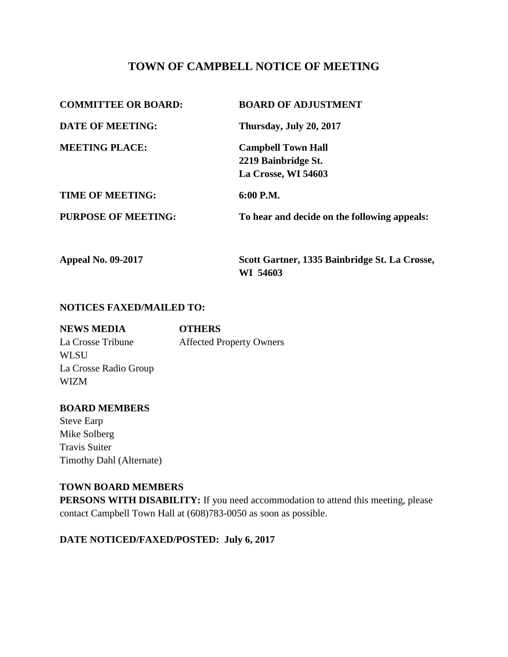# **TOWN OF CAMPBELL NOTICE OF MEETING**

| <b>COMMITTEE OR BOARD:</b> | <b>BOARD OF ADJUSTMENT</b>                    |
|----------------------------|-----------------------------------------------|
| <b>DATE OF MEETING:</b>    | Thursday, July 20, 2017                       |
| <b>MEETING PLACE:</b>      | <b>Campbell Town Hall</b>                     |
|                            | 2219 Bainbridge St.                           |
|                            | La Crosse, WI 54603                           |
| <b>TIME OF MEETING:</b>    | 6:00 P.M.                                     |
| <b>PURPOSE OF MEETING:</b> | To hear and decide on the following appeals:  |
| <b>Appeal No. 09-2017</b>  | Scott Gartner, 1335 Bainbridge St. La Crosse, |

**WI 54603**

### **NOTICES FAXED/MAILED TO:**

| <b>NEWS MEDIA</b>     | <b>OTHERS</b>                   |
|-----------------------|---------------------------------|
| La Crosse Tribune     | <b>Affected Property Owners</b> |
| <b>WLSU</b>           |                                 |
| La Crosse Radio Group |                                 |
| <b>WIZM</b>           |                                 |

### **BOARD MEMBERS**

Steve Earp Mike Solberg Travis Suiter Timothy Dahl (Alternate)

### **TOWN BOARD MEMBERS**

**PERSONS WITH DISABILITY:** If you need accommodation to attend this meeting, please contact Campbell Town Hall at (608)783-0050 as soon as possible.

### **DATE NOTICED/FAXED/POSTED: July 6, 2017**